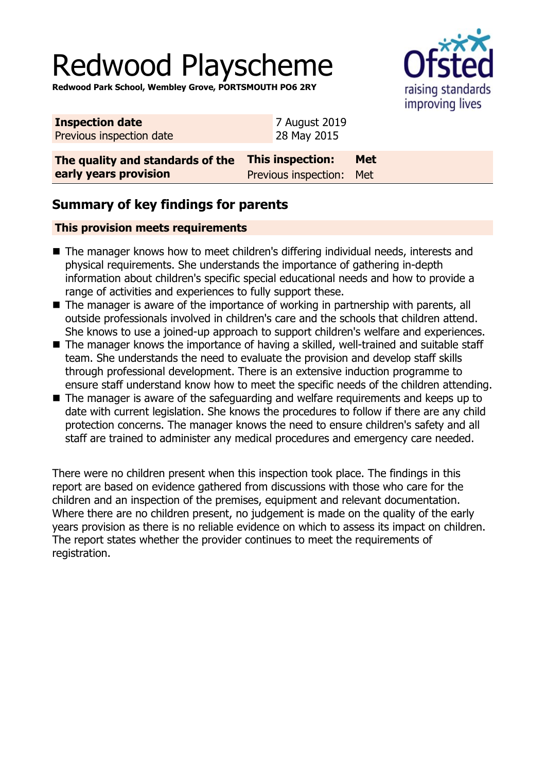# Redwood Playscheme

**Redwood Park School, Wembley Grove, PORTSMOUTH PO6 2RY**



| <b>Inspection date</b>           | 7 August 2019            |            |
|----------------------------------|--------------------------|------------|
| Previous inspection date         | 28 May 2015              |            |
|                                  |                          |            |
| The quality and standards of the | <b>This inspection:</b>  | <b>Met</b> |
| early years provision            | Previous inspection: Met |            |

## **Summary of key findings for parents**

#### **This provision meets requirements**

- The manager knows how to meet children's differing individual needs, interests and physical requirements. She understands the importance of gathering in-depth information about children's specific special educational needs and how to provide a range of activities and experiences to fully support these.
- $\blacksquare$  The manager is aware of the importance of working in partnership with parents, all outside professionals involved in children's care and the schools that children attend. She knows to use a joined-up approach to support children's welfare and experiences.
- The manager knows the importance of having a skilled, well-trained and suitable staff team. She understands the need to evaluate the provision and develop staff skills through professional development. There is an extensive induction programme to ensure staff understand know how to meet the specific needs of the children attending.
- $\blacksquare$  The manager is aware of the safeguarding and welfare requirements and keeps up to date with current legislation. She knows the procedures to follow if there are any child protection concerns. The manager knows the need to ensure children's safety and all staff are trained to administer any medical procedures and emergency care needed.

There were no children present when this inspection took place. The findings in this report are based on evidence gathered from discussions with those who care for the children and an inspection of the premises, equipment and relevant documentation. Where there are no children present, no judgement is made on the quality of the early years provision as there is no reliable evidence on which to assess its impact on children. The report states whether the provider continues to meet the requirements of registration.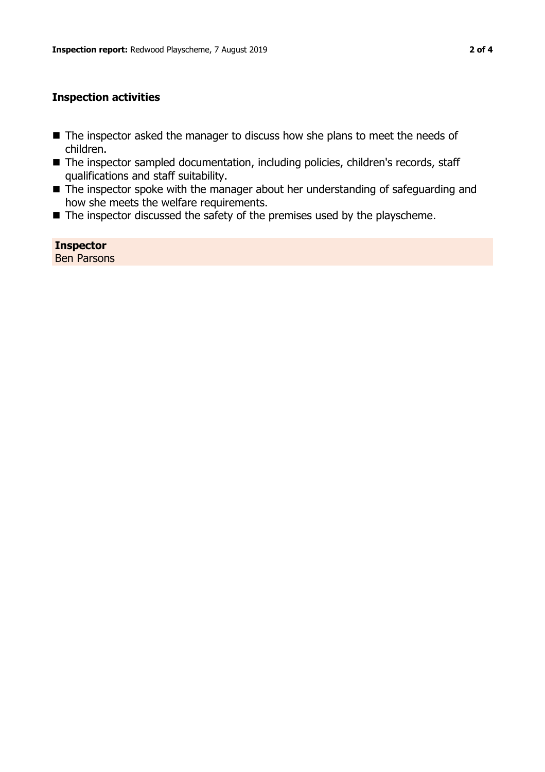#### **Inspection activities**

- The inspector asked the manager to discuss how she plans to meet the needs of children.
- The inspector sampled documentation, including policies, children's records, staff qualifications and staff suitability.
- $\blacksquare$  The inspector spoke with the manager about her understanding of safeguarding and how she meets the welfare requirements.
- $\blacksquare$  The inspector discussed the safety of the premises used by the playscheme.

**Inspector** Ben Parsons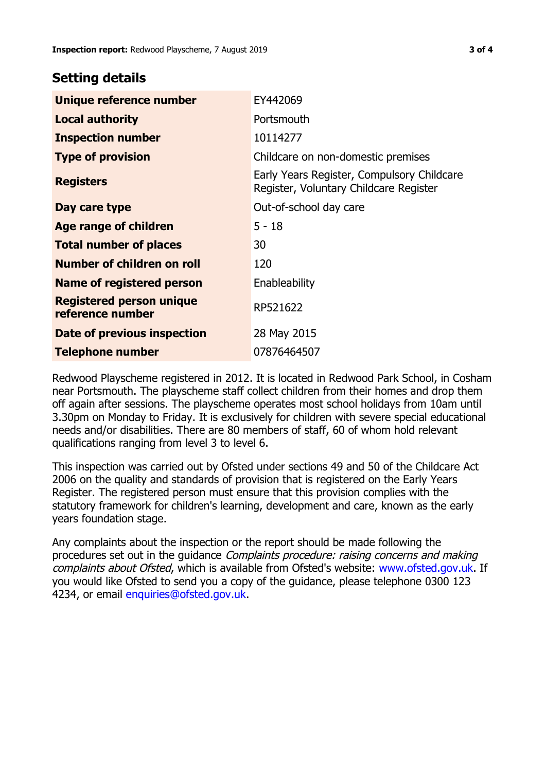### **Setting details**

| Unique reference number                             | EY442069                                                                             |
|-----------------------------------------------------|--------------------------------------------------------------------------------------|
| <b>Local authority</b>                              | Portsmouth                                                                           |
| <b>Inspection number</b>                            | 10114277                                                                             |
| <b>Type of provision</b>                            | Childcare on non-domestic premises                                                   |
| <b>Registers</b>                                    | Early Years Register, Compulsory Childcare<br>Register, Voluntary Childcare Register |
| Day care type                                       | Out-of-school day care                                                               |
| Age range of children                               | $5 - 18$                                                                             |
| <b>Total number of places</b>                       | 30                                                                                   |
| Number of children on roll                          | 120                                                                                  |
| Name of registered person                           | Enableability                                                                        |
| <b>Registered person unique</b><br>reference number | RP521622                                                                             |
| <b>Date of previous inspection</b>                  | 28 May 2015                                                                          |
| <b>Telephone number</b>                             | 07876464507                                                                          |

Redwood Playscheme registered in 2012. It is located in Redwood Park School, in Cosham near Portsmouth. The playscheme staff collect children from their homes and drop them off again after sessions. The playscheme operates most school holidays from 10am until 3.30pm on Monday to Friday. It is exclusively for children with severe special educational needs and/or disabilities. There are 80 members of staff, 60 of whom hold relevant qualifications ranging from level 3 to level 6.

This inspection was carried out by Ofsted under sections 49 and 50 of the Childcare Act 2006 on the quality and standards of provision that is registered on the Early Years Register. The registered person must ensure that this provision complies with the statutory framework for children's learning, development and care, known as the early years foundation stage.

Any complaints about the inspection or the report should be made following the procedures set out in the quidance *Complaints procedure: raising concerns and making* complaints about Ofsted, which is available from Ofsted's website: www.ofsted.gov.uk. If you would like Ofsted to send you a copy of the guidance, please telephone 0300 123 4234, or email [enquiries@ofsted.gov.uk.](mailto:enquiries@ofsted.gov.uk)